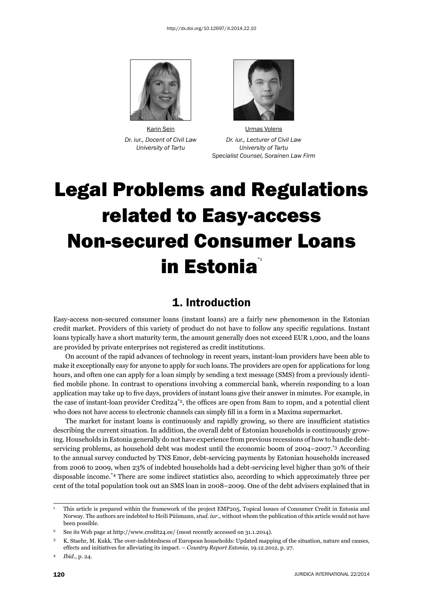



 Karin Sein Urmas Volens *Dr. iur., Docent of Civil Law Dr. iur., Lecturer of Civil Law University of Tartu University of Tartu Specialist Counsel, Sorainen Law Firm* 

# Legal Problems and Regulations related to Easy-access Non-secured Consumer Loans in Estonia<sup>\*</sup>

# 1. Introduction

Easy-access non-secured consumer loans (instant loans) are a fairly new phenomenon in the Estonian credit market. Providers of this variety of product do not have to follow any specifi c regulations. Instant loans typically have a short maturity term, the amount generally does not exceed EUR 1,000, and the loans are provided by private enterprises not registered as credit institutions.

On account of the rapid advances of technology in recent years, instant-loan providers have been able to make it exceptionally easy for anyone to apply for such loans. The providers are open for applications for long hours, and often one can apply for a loan simply by sending a text message (SMS) from a previously identified mobile phone. In contrast to operations involving a commercial bank, wherein responding to a loan application may take up to five days, providers of instant loans give their answer in minutes. For example, in the case of instant-loan provider Credit24<sup>\*2</sup>, the offices are open from 8am to 10pm, and a potential client who does not have access to electronic channels can simply fill in a form in a Maxima supermarket.

The market for instant loans is continuously and rapidly growing, so there are insufficient statistics describing the current situation. In addition, the overall debt of Estonian households is continuously growing. Households in Estonia generally do not have experience from previous recessions of how to handle debtservicing problems, as household debt was modest until the economic boom of 2004–2007.<sup>\*3</sup> According to the annual survey conducted by TNS Emor, debt-servicing payments by Estonian households increased from 2006 to 2009, when 23% of indebted households had a debt-servicing level higher than 30% of their disposable income.\*4 There are some indirect statistics also, according to which approximately three per cent of the total population took out an SMS loan in 2008–2009. One of the debt advisers explained that in

<sup>1</sup> This article is prepared within the framework of the project EMP205, Topical Issues of Consumer Credit in Estonia and Norway. The authors are indebted to Heili Püümann, *stud. iur.*, without whom the publication of this article would not have been possible.

<sup>2</sup> See its Web page at http://www.credit24.ee/ (most recently accessed on 31.1.2014).

<sup>3</sup> K. Staehr, M. Kukk. The over-indebtedness of European households: Updated mapping of the situation, nature and causes, effects and initiatives for alleviating its impact. – *Country Report Estonia*, 19.12.2012, p. 27.

<sup>4</sup> *Ibid*., p. 24.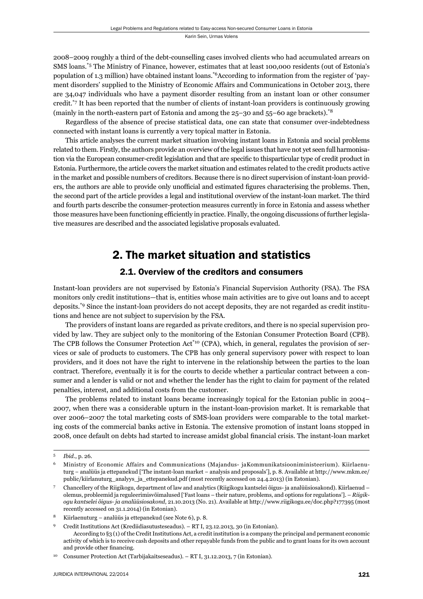2008–2009 roughly a third of the debt-counselling cases involved clients who had accumulated arrears on SMS loans.\*5 The Ministry of Finance, however, estimates that at least 100,000 residents (out of Estonia's population of 1.3 million) have obtained instant loans.\*6According to information from the register of 'payment disorders' supplied to the Ministry of Economic Affairs and Communications in October 2013, there are 34,047 individuals who have a payment disorder resulting from an instant loan or other consumer credit.\*7 It has been reported that the number of clients of instant-loan providers is continuously growing (mainly in the north-eastern part of Estonia and among the 25–30 and 55–60 age brackets).\*8

Regardless of the absence of precise statistical data, one can state that consumer over-indebtedness connected with instant loans is currently a very topical matter in Estonia.

This article analyses the current market situation involving instant loans in Estonia and social problems related to them. Firstly, the authors provide an overview of the legal issues that have not yet seen full harmonisation via the European consumer-credit legislation and that are specific to thisparticular type of credit product in Estonia. Furthermore, the article covers the market situation and estimates related to the credit products active in the market and possible numbers of creditors. Because there is no direct supervision of instant-loan providers, the authors are able to provide only unofficial and estimated figures characterising the problems. Then, the second part of the article provides a legal and institutional overview of the instant-loan market. The third and fourth parts describe the consumer-protection measures currently in force in Estonia and assess whether those measures have been functioning efficiently in practice. Finally, the ongoing discussions of further legislative measures are described and the associated legislative proposals evaluated.

# 2. The market situation and statistics

#### 2.1. Overview of the creditors and consumers

Instant-loan providers are not supervised by Estonia's Financial Supervision Authority (FSA). The FSA monitors only credit institutions—that is, entities whose main activities are to give out loans and to accept deposits.\*9 Since the instant-loan providers do not accept deposits, they are not regarded as credit institutions and hence are not subject to supervision by the FSA.

The providers of instant loans are regarded as private creditors, and there is no special supervision provided by law. They are subject only to the monitoring of the Estonian Consumer Protection Board (CPB). The CPB follows the Consumer Protection Act<sup>\*10</sup> (CPA), which, in general, regulates the provision of services or sale of products to customers. The CPB has only general supervisory power with respect to loan providers, and it does not have the right to intervene in the relationship between the parties to the loan contract. Therefore, eventually it is for the courts to decide whether a particular contract between a consumer and a lender is valid or not and whether the lender has the right to claim for payment of the related penalties, interest, and additional costs from the customer.

The problems related to instant loans became increasingly topical for the Estonian public in 2004– 2007, when there was a considerable upturn in the instant-loan-provision market. It is remarkable that over 2006–2007 the total marketing costs of SMS-loan providers were comparable to the total marketing costs of the commercial banks active in Estonia. The extensive promotion of instant loans stopped in 2008, once default on debts had started to increase amidst global financial crisis. The instant-loan market

10 Consumer Protection Act (Tarbijakaitseseadus). – RT I, 31.12.2013, 7 (in Estonian).

<sup>5</sup> *Ibid*., p. 26.

<sup>6</sup> Ministry of Economic Affairs and Communications (Majandus- jaKommunikatsiooniministeerium). Kiirlaenuturg − analüüs ja ettepanekud ['The instant-loan market − analysis and proposals'], p. 8. Available at http://www.mkm.ee/ public/kiirlanuturg\_analyys\_ja\_ettepanekud.pdf (most recently accessed on 24.4.2013) (in Estonian).

<sup>7</sup> Chancellery of the Riigikogu, department of law and analytics (Riigikogu kantselei õigus- ja analüüsiosakond). Kiirlaenud – olemus, probleemid ja reguleerimisvõimalused ['Fast loans – their nature, problems, and options for regulations']. – *Riigikogu kantselei õigus- ja analüüsiosakond*, 21.10.2013 (No. 21). Available at http://www.riigikogu.ee/doc.php?177395 (most recently accessed on 31.1.2014) (in Estonian).

<sup>8</sup> Kiirlaenuturg – analüüs ja ettepanekud (see Note 6), p. 8.

<sup>9</sup> Credit Institutions Act (Krediidiasutusteseadus). – RT I, 23.12.2013, 30 (in Estonian). According to §3 (1) of the Credit Institutions Act, a credit institution is a company the principal and permanent economic activity of which is to receive cash deposits and other repayable funds from the public and to grant loans for its own account and provide other financing.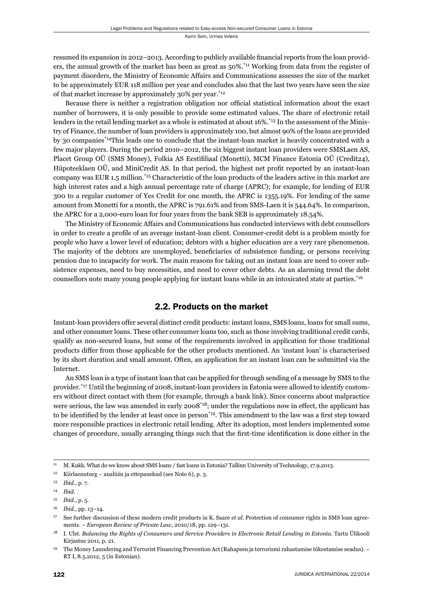resumed its expansion in 2012–2013. According to publicly available financial reports from the loan providers, the annual growth of the market has been as great as 50%.\*11 Working from data from the register of payment disorders, the Ministry of Economic Affairs and Communications assesses the size of the market to be approximately EUR 118 million per year and concludes also that the last two years have seen the size of that market increase by approximately 30% per year.\*12

Because there is neither a registration obligation nor official statistical information about the exact number of borrowers, it is only possible to provide some estimated values. The share of electronic retail lenders in the retail lending market as a whole is estimated at about 16%,<sup>\*13</sup> In the assessment of the Ministry of Finance, the number of loan providers is approximately 100, but almost 90% of the loans are provided by 30 companies\*14This leads one to conclude that the instant-loan market is heavily concentrated with a few major players. During the period 2010–2012, the six biggest instant loan providers were SMSLaen AS, Placet Group OÜ (SMS Money), Folkia AS Eestifiliaal (Monetti), MCM Finance Estonia OÜ (Credit24), Hüpoteeklaen OÜ, and MiniCredit AS. In that period, the highest net profit reported by an instant-loan company was EUR 1.5 million.\*15 Characteristic of the loan products of the leaders active in this market are high interest rates and a high annual percentage rate of charge (APRC); for example, for lending of EUR 300 to a regular customer of Yes Credit for one month, the APRC is 1355.19%. For lending of the same amount from Monetti for a month, the APRC is 791.61% and from SMS-Laen it is 544.64%. In comparison, the APRC for a 2,000-euro loan for four years from the bank SEB is approximately 18.54%.

The Ministry of Economic Affairs and Communications has conducted interviews with debt counsellors in order to create a profile of an average instant-loan client. Consumer-credit debt is a problem mostly for people who have a lower level of education; debtors with a higher education are a very rare phenomenon. The majority of the debtors are unemployed, beneficiaries of subsistence funding, or persons receiving pension due to incapacity for work. The main reasons for taking out an instant loan are need to cover subsistence expenses, need to buy necessities, and need to cover other debts. As an alarming trend the debt counsellors note many young people applying for instant loans while in an intoxicated state at parties.\*16

## 2.2. Products on the market

Instant-loan providers offer several distinct credit products: instant loans, SMS loans, loans for small sums, and other consumer loans. These other consumer loans too, such as those involving traditional credit cards, qualify as non-secured loans, but some of the requirements involved in application for those traditional products differ from those applicable for the other products mentioned. An 'instant loan' is characterised by its short duration and small amount. Often, an application for an instant loan can be submitted via the Internet.

An SMS loan is a type of instant loan that can be applied for through sending of a message by SMS to the provider.\*17 Until the beginning of 2008, instant-loan providers in Estonia were allowed to identify customers without direct contact with them (for example, through a bank link). Since concerns about malpractice were serious, the law was amended in early 2008<sup>\*18</sup>; under the regulations now in effect, the applicant has to be identified by the lender at least once in person<sup>\*19</sup>. This amendment to the law was a first step toward more responsible practices in electronic retail lending. After its adoption, most lenders implemented some changes of procedure, usually arranging things such that the first-time identification is done either in the

<sup>11</sup> M. Kukk. What do we know about SMS loans / fast loans in Estonia? Tallinn University of Technology, 17.9.2013.

<sup>12</sup> Kiirlaenuturg – analüüs ja ettepanekud (see Note 6), p. 3.

<sup>13</sup> *Ibid*., p. 7.

<sup>14</sup> *Ibid*.

<sup>15</sup> *Ibid*., p. 5.

<sup>16</sup> *Ibid*., pp. 13–14.

<sup>17</sup> See further discussion of these modern credit products in K. Saare *et al*. Protection of consumer rights in SMS loan agreements. – *European Review of Private Law*, 2010/18, pp. 129–131.

<sup>18</sup> I. Ulst. *Balancing the Rights of Consumers and Service Providers in Electronic Retail Lending in Estonia*. Tartu Ülikooli Kirjastus 2011, p. 21.

<sup>19</sup> The Money Laundering and Terrorist Financing Prevention Act (Rahapesu ja terrorismi rahastamise tõkestamise seadus). – RT I, 8.5.2012, 5 (in Estonian).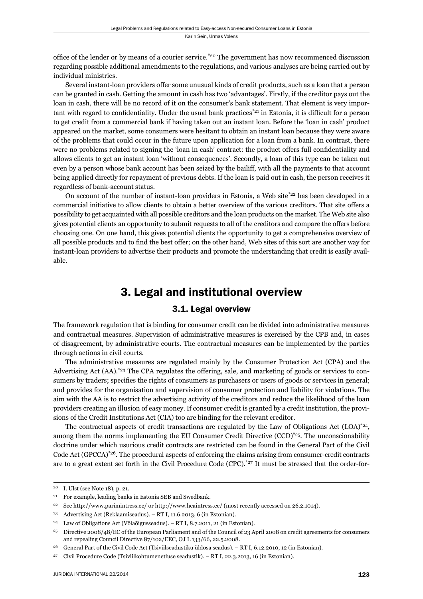office of the lender or by means of a courier service.<sup>\*20</sup> The government has now recommenced discussion regarding possible additional amendments to the regulations, and various analyses are being carried out by individual ministries.

Several instant-loan providers offer some unusual kinds of credit products, such as a loan that a person can be granted in cash. Getting the amount in cash has two 'advantages'. Firstly, if the creditor pays out the loan in cash, there will be no record of it on the consumer's bank statement. That element is very important with regard to confidentiality. Under the usual bank practices<sup>\*21</sup> in Estonia, it is difficult for a person to get credit from a commercial bank if having taken out an instant loan. Before the 'loan in cash' product appeared on the market, some consumers were hesitant to obtain an instant loan because they were aware of the problems that could occur in the future upon application for a loan from a bank. In contrast, there were no problems related to signing the 'loan in cash' contract: the product offers full confidentiality and allows clients to get an instant loan 'without consequences'. Secondly, a loan of this type can be taken out even by a person whose bank account has been seized by the bailiff, with all the payments to that account being applied directly for repayment of previous debts. If the loan is paid out in cash, the person receives it regardless of bank-account status.

On account of the number of instant-loan providers in Estonia, a Web site<sup>\*22</sup> has been developed in a commercial initiative to allow clients to obtain a better overview of the various creditors. That site offers a possibility to get acquainted with all possible creditors and the loan products on the market. The Web site also gives potential clients an opportunity to submit requests to all of the creditors and compare the offers before choosing one. On one hand, this gives potential clients the opportunity to get a comprehensive overview of all possible products and to find the best offer; on the other hand, Web sites of this sort are another way for instant-loan providers to advertise their products and promote the understanding that credit is easily available.

# 3. Legal and institutional overview

## 3.1. Legal overview

The framework regulation that is binding for consumer credit can be divided into administrative measures and contractual measures. Supervision of administrative measures is exercised by the CPB and, in cases of disagreement, by administrative courts. The contractual measures can be implemented by the parties through actions in civil courts.

The administrative measures are regulated mainly by the Consumer Protection Act (CPA) and the Advertising Act (AA).<sup>\*23</sup> The CPA regulates the offering, sale, and marketing of goods or services to consumers by traders; specifies the rights of consumers as purchasers or users of goods or services in general; and provides for the organisation and supervision of consumer protection and liability for violations. The aim with the AA is to restrict the advertising activity of the creditors and reduce the likelihood of the loan providers creating an illusion of easy money. If consumer credit is granted by a credit institution, the provisions of the Credit Institutions Act (CIA) too are binding for the relevant creditor.

The contractual aspects of credit transactions are regulated by the Law of Obligations Act  $(LOA)^{*24}$ , among them the norms implementing the EU Consumer Credit Directive  $(CCD)^*^{25}$ . The unconscionability doctrine under which usurious credit contracts are restricted can be found in the General Part of the Civil Code Act (GPCCA)<sup>\*26</sup>. The procedural aspects of enforcing the claims arising from consumer-credit contracts are to a great extent set forth in the Civil Procedure Code (CPC).<sup>\*27</sup> It must be stressed that the order-for-

<sup>20</sup> I. Ulst (see Note 18), p. 21.

<sup>21</sup> For example, leading banks in Estonia SEB and Swedbank.

<sup>&</sup>lt;sup>22</sup> See http://www.parimintress.ee/ or http://www.heaintress.ee/ (most recently accessed on 26.2.1014).

<sup>23</sup> Advertising Act (Reklaamiseadus). – RT I, 11.6.2013, 6 (in Estonian).

Law of Obligations Act (Võlaõigusseadus). – RT I, 8.7.2011, 21 (in Estonian).

<sup>&</sup>lt;sup>25</sup> Directive 2008/48/EC of the European Parliament and of the Council of 23 April 2008 on credit agreements for consumers and repealing Council Directive 87/102/EEC, OJ L 133/66, 22.5.2008.

<sup>26</sup> General Part of the Civil Code Act (Tsiviilseadustiku üldosa seadus). – RT I, 6.12.2010, 12 (in Estonian).

<sup>27</sup> Civil Procedure Code (Tsiviilkohtumenetluse seadustik). – RT I, 22.3.2013, 16 (in Estonian).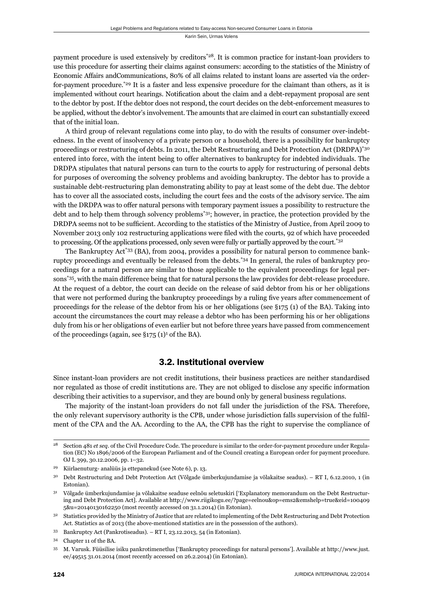payment procedure is used extensively by creditors\*28. It is common practice for instant-loan providers to use this procedure for asserting their claims against consumers: according to the statistics of the Ministry of Economic Affairs andCommunications, 80% of all claims related to instant loans are asserted via the orderfor-payment procedure.\*29 It is a faster and less expensive procedure for the claimant than others, as it is implemented without court hearings. Notification about the claim and a debt-repayment proposal are sent to the debtor by post. If the debtor does not respond, the court decides on the debt-enforcement measures to be applied, without the debtor's involvement. The amounts that are claimed in court can substantially exceed that of the initial loan.

A third group of relevant regulations come into play, to do with the results of consumer over-indebtedness. In the event of insolvency of a private person or a household, there is a possibility for bankruptcy proceedings or restructuring of debts. In 2011, the Debt Restructuring and Debt Protection Act (DRDPA)\*30 entered into force, with the intent being to offer alternatives to bankruptcy for indebted individuals. The DRDPA stipulates that natural persons can turn to the courts to apply for restructuring of personal debts for purposes of overcoming the solvency problems and avoiding bankruptcy. The debtor has to provide a sustainable debt-restructuring plan demonstrating ability to pay at least some of the debt due. The debtor has to cover all the associated costs, including the court fees and the costs of the advisory service. The aim with the DRDPA was to offer natural persons with temporary payment issues a possibility to restructure the debt and to help them through solvency problems\*31; however, in practice, the protection provided by the DRDPA seems not to be sufficient. According to the statistics of the Ministry of Justice, from April 2009 to November 2013 only 102 restructuring applications were filed with the courts, 92 of which have proceeded to processing. Of the applications processed, only seven were fully or partially approved by the court.<sup>\*32</sup>

The Bankruptcy Act\*33 (BA), from 2004, provides a possibility for natural person to commence bankruptcy proceedings and eventually be released from the debts.\*34 In general, the rules of bankruptcy proceedings for a natural person are similar to those applicable to the equivalent proceedings for legal persons\*35, with the main difference being that for natural persons the law provides for debt-release procedure. At the request of a debtor, the court can decide on the release of said debtor from his or her obligations that were not performed during the bankruptcy proceedings by a ruling five years after commencement of proceedings for the release of the debtor from his or her obligations (see §175 (1) of the BA). Taking into account the circumstances the court may release a debtor who has been performing his or her obligations duly from his or her obligations of even earlier but not before three years have passed from commencement of the proceedings (again, see  $\S 175$  (1)<sup>1</sup> of the BA).

## 3.2. Institutional overview

Since instant-loan providers are not credit institutions, their business practices are neither standardised nor regulated as those of credit institutions are. They are not obliged to disclose any specific information describing their activities to a supervisor, and they are bound only by general business regulations.

The majority of the instant-loan providers do not fall under the jurisdiction of the FSA. Therefore, the only relevant supervisory authority is the CPB, under whose jurisdiction falls supervision of the fulfilment of the CPA and the AA. According to the AA, the CPB has the right to supervise the compliance of

<sup>28</sup> Section 481 *et seq*. of the Civil Procedure Code. The procedure is similar to the order-for-payment procedure under Regulation (EC) No 1896/2006 of the European Parliament and of the Council creating a European order for payment procedure. OJ L 399, 30.12.2006, pp. 1–32.

<sup>29</sup> Kiirlaenuturg- analüüs ja ettepanekud (see Note 6), p. 13.

<sup>30</sup> Debt Restructuring and Debt Protection Act (Võlgade ümberkujundamise ja võlakaitse seadus). – RT I, 6.12.2010, 1 (in Estonian).

<sup>&</sup>lt;sup>31</sup> Võlgade ümberkujundamise ja võlakaitse seaduse eelnõu seletuskiri ['Explanatory memorandum on the Debt Restructuring and Debt Protection Act]. Available at http://www.riigikogu.ee/?page=eelnou&op=ems2&emshelp=true&eid=100409 5&u=20140130162250 (most recently accessed on 31.1.2014) (in Estonian).

<sup>32</sup> Statistics provided by the Ministry of Justice that are related to implementing of the Debt Restructuring and Debt Protection Act. Statistics as of 2013 (the above-mentioned statistics are in the possession of the authors).

<sup>33</sup> Bankruptcy Act (Pankrotiseadus). – RT I, 23.12.2013, 54 (in Estonian).

<sup>34</sup> Chapter 11 of the BA.

<sup>35</sup> M. Varusk. Füüsilise isiku pankrotimenetlus ['Bankruptcy proceedings for natural persons']. Available at http://www.just. ee/49515 31.01.2014 (most recently accessed on 26.2.2014) (in Estonian).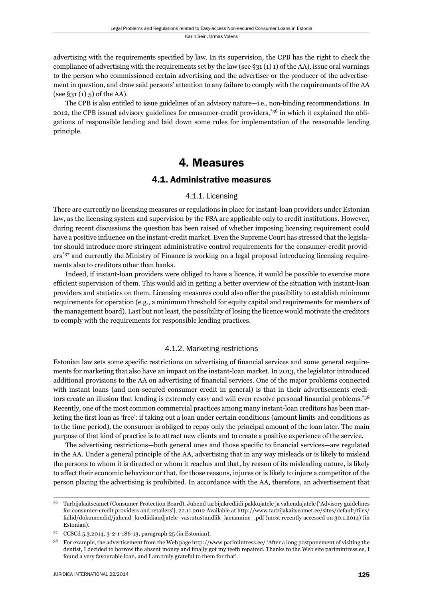advertising with the requirements specified by law. In its supervision, the CPB has the right to check the compliance of advertising with the requirements set by the law (see  $\S 31 (1) 1$ ) of the AA), issue oral warnings to the person who commissioned certain advertising and the advertiser or the producer of the advertisement in question, and draw said persons' attention to any failure to comply with the requirements of the AA  $(see §31 (1) 5) of the AA).$ 

The CPB is also entitled to issue guidelines of an advisory nature—i.e., non-binding recommendations. In 2012, the CPB issued advisory guidelines for consumer-credit providers,\*36 in which it explained the obligations of responsible lending and laid down some rules for implementation of the reasonable lending principle.

# 4. Measures

## 4.1. Administrative measures

#### 4.1.1. Licensing

There are currently no licensing measures or regulations in place for instant-loan providers under Estonian law, as the licensing system and supervision by the FSA are applicable only to credit institutions. However, during recent discussions the question has been raised of whether imposing licensing requirement could have a positive influence on the instant-credit market. Even the Supreme Court has stressed that the legislator should introduce more stringent administrative control requirements for the consumer-credit providers\*37 and currently the Ministry of Finance is working on a legal proposal introducing licensing requirements also to creditors other than banks.

Indeed, if instant-loan providers were obliged to have a licence, it would be possible to exercise more efficient supervision of them. This would aid in getting a better overview of the situation with instant-loan providers and statistics on them. Licensing measures could also offer the possibility to establish minimum requirements for operation (e.g., a minimum threshold for equity capital and requirements for members of the management board). Last but not least, the possibility of losing the licence would motivate the creditors to comply with the requirements for responsible lending practices.

#### 4.1.2. Marketing restrictions

Estonian law sets some specific restrictions on advertising of financial services and some general requirements for marketing that also have an impact on the instant-loan market. In 2013, the legislator introduced additional provisions to the AA on advertising of financial services. One of the major problems connected with instant loans (and non-secured consumer credit in general) is that in their advertisements creditors create an illusion that lending is extremely easy and will even resolve personal financial problems.<sup>\*38</sup> Recently, one of the most common commercial practices among many instant-loan creditors has been marketing the first loan as 'free': if taking out a loan under certain conditions (amount limits and conditions as to the time period), the consumer is obliged to repay only the principal amount of the loan later. The main purpose of that kind of practice is to attract new clients and to create a positive experience of the service.

The advertising restrictions—both general ones and those specific to financial services—are regulated in the AA. Under a general principle of the AA, advertising that in any way misleads or is likely to mislead the persons to whom it is directed or whom it reaches and that, by reason of its misleading nature, is likely to affect their economic behaviour or that, for those reasons, injures or is likely to injure a competitor of the person placing the advertising is prohibited. In accordance with the AA, therefore, an advertisement that

<sup>36</sup> Tarbijakaitseamet (Consumer Protection Board). Juhend tarbijakrediidi pakkujatele ja vahendajatele ['Advisory guidelines for consumer-credit providers and retailers'], 22.11.2012 Available at http://www.tarbijakaitseamet.ee/sites/default/files/ failid/dokumendid/juhend\_krediidiandjatele\_vastutustundlik\_laenamine\_.pdf (most recently accessed on 30.1.2014) (in Estonian).

<sup>37</sup> CCSCd 5.3.2014, 3-2-1-186-13, paragraph 25 (in Estonian).

<sup>38</sup> For example, the advertisement from the Web page http://www.parimintress.ee/ 'After a long postponement of visiting the dentist, I decided to borrow the absent money and finally got my teeth repaired. Thanks to the Web site parimintress.ee, I found a very favourable loan, and I am truly grateful to them for that'.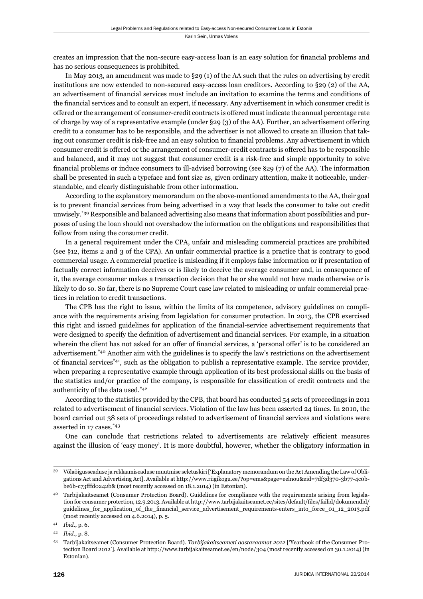creates an impression that the non-secure easy-access loan is an easy solution for financial problems and has no serious consequences is prohibited.

In May 2013, an amendment was made to §29 (1) of the AA such that the rules on advertising by credit institutions are now extended to non-secured easy-access loan creditors. According to §29 (2) of the AA, an advertisement of financial services must include an invitation to examine the terms and conditions of the financial services and to consult an expert, if necessary. Any advertisement in which consumer credit is offered or the arrangement of consumer-credit contracts is offered must indicate the annual percentage rate of charge by way of a representative example (under §29 (3) of the AA). Further, an advertisement offering credit to a consumer has to be responsible, and the advertiser is not allowed to create an illusion that taking out consumer credit is risk-free and an easy solution to financial problems. Any advertisement in which consumer credit is offered or the arrangement of consumer-credit contracts is offered has to be responsible and balanced, and it may not suggest that consumer credit is a risk-free and simple opportunity to solve financial problems or induce consumers to ill-advised borrowing (see  $\S 29$  (7) of the AA). The information shall be presented in such a typeface and font size as, given ordinary attention, make it noticeable, understandable, and clearly distinguishable from other information.

According to the explanatory memorandum on the above-mentioned amendments to the AA, their goal is to prevent financial services from being advertised in a way that leads the consumer to take out credit unwisely.\*39 Responsible and balanced advertising also means that information about possibilities and purposes of using the loan should not overshadow the information on the obligations and responsibilities that follow from using the consumer credit.

In a general requirement under the CPA, unfair and misleading commercial practices are prohibited (see §12, items 2 and 3 of the CPA). An unfair commercial practice is a practice that is contrary to good commercial usage. A commercial practice is misleading if it employs false information or if presentation of factually correct information deceives or is likely to deceive the average consumer and, in consequence of it, the average consumer makes a transaction decision that he or she would not have made otherwise or is likely to do so. So far, there is no Supreme Court case law related to misleading or unfair commercial practices in relation to credit transactions.

The CPB has the right to issue, within the limits of its competence, advisory guidelines on compliance with the requirements arising from legislation for consumer protection. In 2013, the CPB exercised this right and issued guidelines for application of the financial-service advertisement requirements that were designed to specify the definition of advertisement and financial services. For example, in a situation wherein the client has not asked for an offer of financial services, a 'personal offer' is to be considered an advertisement.\*40 Another aim with the guidelines is to specify the law's restrictions on the advertisement of financial services<sup> $*41$ </sup>, such as the obligation to publish a representative example. The service provider, when preparing a representative example through application of its best professional skills on the basis of the statistics and/or practice of the company, is responsible for classification of credit contracts and the authenticity of the data used.\*42

According to the statistics provided by the CPB, that board has conducted 54 sets of proceedings in 2011 related to advertisement of financial services. Violation of the law has been asserted 24 times. In 2010, the board carried out 38 sets of proceedings related to advertisement of financial services and violations were asserted in 17 cases.\*43

One can conclude that restrictions related to advertisements are relatively efficient measures against the illusion of 'easy money'. It is more doubtful, however, whether the obligatory information in

<sup>39</sup> Võlaõigusseaduse ja reklaamiseaduse muutmise seletuskiri ['Explanatory memorandum on the Act Amending the Law of Obligations Act and Advertising Act]. Available at http://www.riigikogu.ee/?op=ems&page=eelnou&eid=7df3d370-3b77-4c0bbe6b-c73fffd0242b& (most recently accessed on 18.1.2014) (in Estonian).

<sup>40</sup> Tarbijakaitseamet (Consumer Protection Board). Guidelines for compliance with the requirements arising from legislation for consumer protection, 12.9.2013. Available at http://www.tarbijakaitseamet.ee/sites/default/files/failid/dokumendid/ guidelines\_for\_application\_of\_the\_financial\_service\_advertisement\_requirements-enters\_into\_force\_01\_12\_2013.pdf (most recently accessed on 4.6.2014), p. 5.

<sup>41</sup> *Ibid*., p. 6.

<sup>42</sup> *Ibid*., p. 8.

<sup>43</sup> Tarbijakaitseamet (Consumer Protection Board). *Tarbijakaitseameti aastaraamat 2012* ['Yearbook of the Consumer Protection Board 2012']. Available at http://www.tarbijakaitseamet.ee/en/node/304 (most recently accessed on 30.1.2014) (in Estonian).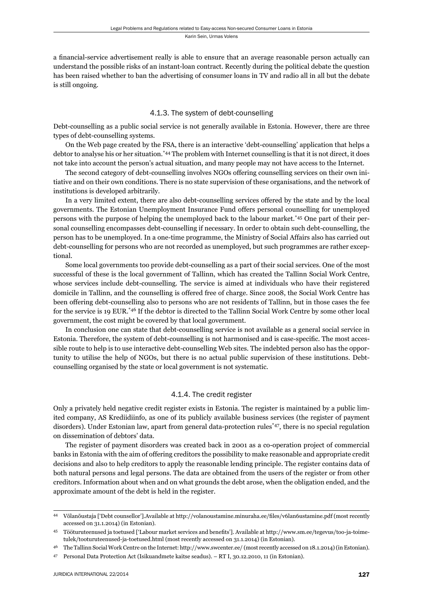a financial-service advertisement really is able to ensure that an average reasonable person actually can understand the possible risks of an instant-loan contract. Recently during the political debate the question has been raised whether to ban the advertising of consumer loans in TV and radio all in all but the debate is still ongoing.

#### 4.1.3. The system of debt-counselling

Debt-counselling as a public social service is not generally available in Estonia. However, there are three types of debt-counselling systems.

On the Web page created by the FSA, there is an interactive 'debt-counselling' application that helps a debtor to analyse his or her situation.\*44 The problem with Internet counselling is that it is not direct, it does not take into account the person's actual situation, and many people may not have access to the Internet.

The second category of debt-counselling involves NGOs offering counselling services on their own initiative and on their own conditions. There is no state supervision of these organisations, and the network of institutions is developed arbitrarily.

In a very limited extent, there are also debt-counselling services offered by the state and by the local governments. The Estonian Unemployment Insurance Fund offers personal counselling for unemployed persons with the purpose of helping the unemployed back to the labour market.\*45 One part of their personal counselling encompasses debt-counselling if necessary. In order to obtain such debt-counselling, the person has to be unemployed. In a one-time programme, the Ministry of Social Affairs also has carried out debt-counselling for persons who are not recorded as unemployed, but such programmes are rather exceptional.

Some local governments too provide debt-counselling as a part of their social services. One of the most successful of these is the local government of Tallinn, which has created the Tallinn Social Work Centre, whose services include debt-counselling. The service is aimed at individuals who have their registered domicile in Tallinn, and the counselling is offered free of charge. Since 2008, the Social Work Centre has been offering debt-counselling also to persons who are not residents of Tallinn, but in those cases the fee for the service is 19 EUR.\*46 If the debtor is directed to the Tallinn Social Work Centre by some other local government, the cost might be covered by that local government.

In conclusion one can state that debt-counselling service is not available as a general social service in Estonia. Therefore, the system of debt-counselling is not harmonised and is case-specific. The most accessible route to help is to use interactive debt-counselling Web sites. The indebted person also has the opportunity to utilise the help of NGOs, but there is no actual public supervision of these institutions. Debtcounselling organised by the state or local government is not systematic.

#### 4.1.4. The credit register

Only a privately held negative credit register exists in Estonia. The register is maintained by a public limited company, AS Krediidiinfo, as one of its publicly available business services (the register of payment disorders). Under Estonian law, apart from general data-protection rules\*47, there is no special regulation on dissemination of debtors' data.

The register of payment disorders was created back in 2001 as a co-operation project of commercial banks in Estonia with the aim of offering creditors the possibility to make reasonable and appropriate credit decisions and also to help creditors to apply the reasonable lending principle. The register contains data of both natural persons and legal persons. The data are obtained from the users of the register or from other creditors. Information about when and on what grounds the debt arose, when the obligation ended, and the approximate amount of the debt is held in the register.

<sup>44</sup> Võlanõustaja ['Debt counsellor'].Available at http://volanoustamine.minuraha.ee/files/v6lan6ustamine.pdf (most recently accessed on 31.1.2014) (in Estonian).

Tööturuteenused ja toetused ['Labour market services and benefits']. Available at http://www.sm.ee/tegevus/too-ja-toimetulek/tooturuteenused-ja-toetused.html (most recently accessed on 31.1.2014) (in Estonian).

<sup>46</sup> The Tallinn Social Work Centre on the Internet: http://www.swcenter.ee/ (most recently accessed on 18.1.2014) (in Estonian).

<sup>47</sup> Personal Data Protection Act (Isikuandmete kaitse seadus). – RT I, 30.12.2010, 11 (in Estonian).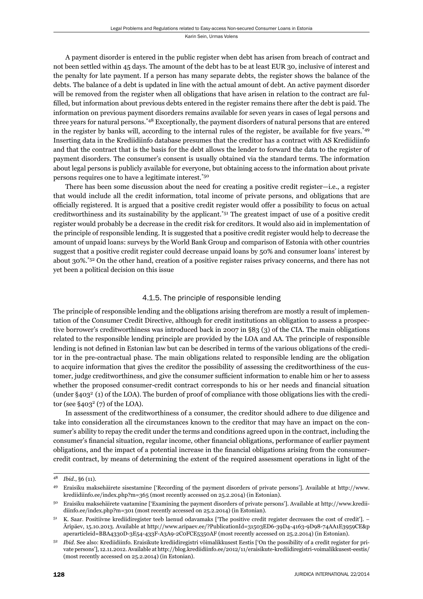A payment disorder is entered in the public register when debt has arisen from breach of contract and not been settled within 45 days. The amount of the debt has to be at least EUR 30, inclusive of interest and the penalty for late payment. If a person has many separate debts, the register shows the balance of the debts. The balance of a debt is updated in line with the actual amount of debt. An active payment disorder will be removed from the register when all obligations that have arisen in relation to the contract are fulfilled, but information about previous debts entered in the register remains there after the debt is paid. The information on previous payment disorders remains available for seven years in cases of legal persons and three years for natural persons.\*48 Exceptionally, the payment disorders of natural persons that are entered in the register by banks will, according to the internal rules of the register, be available for five years.<sup>\*49</sup> Inserting data in the Krediidiinfo database presumes that the creditor has a contract with AS Krediidiinfo and that the contract that is the basis for the debt allows the lender to forward the data to the register of payment disorders. The consumer's consent is usually obtained via the standard terms. The information about legal persons is publicly available for everyone, but obtaining access to the information about private persons requires one to have a legitimate interest.\*50

There has been some discussion about the need for creating a positive credit register—i.e., a register that would include all the credit information, total income of private persons, and obligations that are officially registered. It is argued that a positive credit register would offer a possibility to focus on actual creditworthiness and its sustainability by the applicant.\*51 The greatest impact of use of a positive credit register would probably be a decrease in the credit risk for creditors. It would also aid in implementation of the principle of responsible lending. It is suggested that a positive credit register would help to decrease the amount of unpaid loans: surveys by the World Bank Group and comparison of Estonia with other countries suggest that a positive credit register could decrease unpaid loans by 50% and consumer loans' interest by about 30%.\*52 On the other hand, creation of a positive register raises privacy concerns, and there has not yet been a political decision on this issue

#### 4.1.5. The principle of responsible lending

The principle of responsible lending and the obligations arising therefrom are mostly a result of implementation of the Consumer Credit Directive, although for credit institutions an obligation to assess a prospective borrower's creditworthiness was introduced back in 2007 in §83 (3) of the CIA. The main obligations related to the responsible lending principle are provided by the LOA and AA. The principle of responsible lending is not defined in Estonian law but can be described in terms of the various obligations of the creditor in the pre-contractual phase. The main obligations related to responsible lending are the obligation to acquire information that gives the creditor the possibility of assessing the creditworthiness of the customer, judge creditworthiness, and give the consumer sufficient information to enable him or her to assess whether the proposed consumer-credit contract corresponds to his or her needs and financial situation (under  $\S 403^2$  (1) of the LOA). The burden of proof of compliance with those obligations lies with the creditor (see  $\S 403^2$  (7) of the LOA).

In assessment of the creditworthiness of a consumer, the creditor should adhere to due diligence and take into consideration all the circumstances known to the creditor that may have an impact on the consumer's ability to repay the credit under the terms and conditions agreed upon in the contract, including the consumer's financial situation, regular income, other financial obligations, performance of earlier payment obligations, and the impact of a potential increase in the financial obligations arising from the consumercredit contract, by means of determining the extent of the required assessment operations in light of the

<sup>48</sup> *Ibid*., §6 (11).

<sup>49</sup> Eraisiku maksehäirete sisestamine ['Recording of the payment disorders of private persons']. Available at http://www. krediidiinfo.ee/index.php?m=365 (most recently accessed on 25.2.2014) (in Estonian).

<sup>50</sup> Eraisiku maksehäirete vaatamine ['Examining the payment disorders of private persons']. Available at http://www.krediidiinfo.ee/index.php?m=301 (most recently accessed on 25.2.2014) (in Estonian).

<sup>51</sup> K. Saar. Positiivne krediidiregister teeb laenud odavamaks ['The positive credit register decreases the cost of credit']. − Äripäev, 15.10.2013. Available at http://www.aripaev.ee/?PublicationId=31503ED6-39D4-4163-9D98-74AA1E3959CE&p aperarticleid=BBA4330D-3E54-433F-A3A9-2C0FCE5350AF (most recently accessed on 25.2.2014) (in Estonian).

<sup>52</sup> *Ibid*. See also: Krediidiinfo. Eraisikute krediidiregistri võimalikkusest Eestis ['On the possibility of a credit register for private persons'], 12.11.2012. Available at http://blog.krediidiinfo.ee/2012/11/eraisikute-krediidiregistri-voimalikkusest-eestis/ (most recently accessed on 25.2.2014) (in Estonian).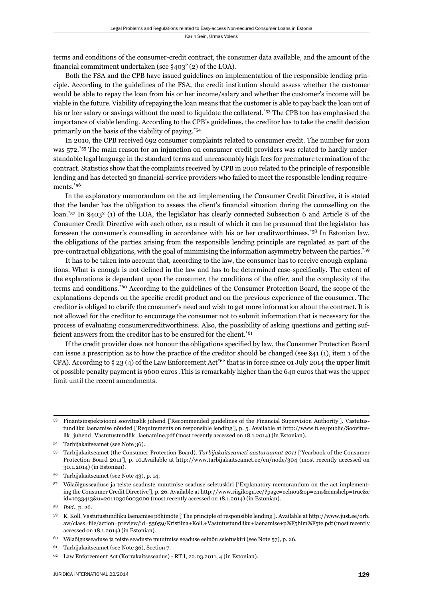terms and conditions of the consumer-credit contract, the consumer data available, and the amount of the financial commitment undertaken (see  $\S 403^2$  (2) of the LOA).

Both the FSA and the CPB have issued guidelines on implementation of the responsible lending principle. According to the guidelines of the FSA, the credit institution should assess whether the customer would be able to repay the loan from his or her income/salary and whether the customer's income will be viable in the future. Viability of repaying the loan means that the customer is able to pay back the loan out of his or her salary or savings without the need to liquidate the collateral.<sup>\*53</sup> The CPB too has emphasised the importance of viable lending. According to the CPB's guidelines, the creditor has to take the credit decision primarily on the basis of the viability of paying.\*54

In 2010, the CPB received 692 consumer complaints related to consumer credit. The number for 2011 was 572.\*55 The main reason for an injunction on consumer-credit providers was related to hardly understandable legal language in the standard terms and unreasonably high fees for premature termination of the contract. Statistics show that the complaints received by CPB in 2010 related to the principle of responsible lending and has detected 30 financial-service providers who failed to meet the responsible lending requirements.\*56

In the explanatory memorandum on the act implementing the Consumer Credit Directive, it is stated that the lender has the obligation to assess the client's financial situation during the counselling on the loan.<sup>\*57</sup> In §403<sup>2</sup> (1) of the LOA, the legislator has clearly connected Subsection 6 and Article 8 of the Consumer Credit Directive with each other, as a result of which it can be presumed that the legislator has foreseen the consumer's counselling in accordance with his or her creditworthiness.\*58 In Estonian law, the obligations of the parties arising from the responsible lending principle are regulated as part of the pre-contractual obligations, with the goal of minimising the information asymmetry between the parties.\*59

It has to be taken into account that, according to the law, the consumer has to receive enough explanations. What is enough is not defined in the law and has to be determined case-specifically. The extent of the explanations is dependent upon the consumer, the conditions of the offer, and the complexity of the terms and conditions.\*60 According to the guidelines of the Consumer Protection Board, the scope of the explanations depends on the specific credit product and on the previous experience of the consumer. The creditor is obliged to clarify the consumer's need and wish to get more information about the contract. It is not allowed for the creditor to encourage the consumer not to submit information that is necessary for the process of evaluating consumercreditworthiness. Also, the possibility of asking questions and getting sufficient answers from the creditor has to be ensured for the client.<sup>\*61</sup>

If the credit provider does not honour the obligations specified by law, the Consumer Protection Board can issue a prescription as to how the practice of the creditor should be changed (see §41 (1), item 1 of the CPA). According to § 23 (4) of the Law Enforcement Act<sup>\*62</sup> that is in force since 01 July 2014 the upper limit of possible penalty payment is 9600 euros .This is remarkably higher than the 640 euros that was the upper limit until the recent amendments.

<sup>53</sup> Finantsinspektsiooni soovituslik juhend ['Recommended guidelines of the Financial Supervision Authority']. Vastutustundliku laenamise nõuded ['Requirements on responsible lending'], p. 5. Available at http://www.fi .ee/public/Soovituslik\_juhend\_Vastutustundlik\_laenamine.pdf (most recently accessed on 18.1.2014) (in Estonian).

<sup>54</sup> Tarbijakaitseamet (see Note 36).

<sup>55</sup> Tarbijakaitseamet (the Consumer Protection Board). *Tarbijakaitseameti aastaraamat 2011* ['Yearbook of the Consumer Protection Board 2011'], p. 10.Available at http://www.tarbijakaitseamet.ee/en/node/304 (most recently accessed on 30.1.2014) (in Estonian).

<sup>56</sup> Tarbijakaitseamet (see Note 43), p. 14.

<sup>57</sup> Võlaõigusseaduse ja teiste seaduste muutmise seaduse seletuskiri ['Explanatory memorandum on the act implementing the Consumer Credit Directive'], p. 26. Available at http://www.riigikogu.ee/?page=eelnou&op=ems&emshelp=true&e id=1033413&u=20110306003000 (most recently accessed on 18.1.2014) (in Estonian).

<sup>58</sup> *Ibid*., p. 26.

<sup>59</sup> K. Koll. Vastutustundliku laenamise põhimõte ['The principle of responsible lending']. Available at http://www.just.ee/orb. aw/class=file/action=preview/id=55659/Kristiina+Koll.+Vastutustundliku+laenamise+p%F5him%F5te.pdf (most recently accessed on 18.1.2014) (in Estonian).

<sup>60</sup> Võlaõigusseaduse ja teiste seaduste muutmise seaduse eelnõu seletuskiri (see Note 57), p. 26.

<sup>61</sup> Tarbijakaitseamet (see Note 36), Section 7.

<sup>62</sup> Law Enforcement Act (Korrakaitseseadus) - RT I, 22.03.2011, 4 (in Estonian).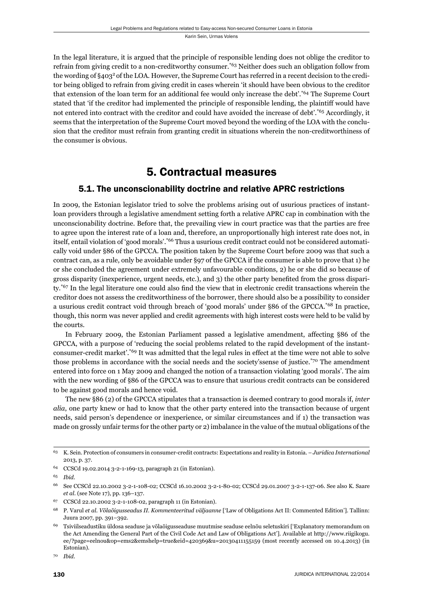In the legal literature, it is argued that the principle of responsible lending does not oblige the creditor to refrain from giving credit to a non-creditworthy consumer.\*63 Neither does such an obligation follow from the wording of §4032 of the LOA. However, the Supreme Court has referred in a recent decision to the creditor being obliged to refrain from giving credit in cases wherein 'it should have been obvious to the creditor that extension of the loan term for an additional fee would only increase the debt'.\*64 The Supreme Court stated that 'if the creditor had implemented the principle of responsible lending, the plaintiff would have not entered into contract with the creditor and could have avoided the increase of debt'.\*65 Accordingly, it seems that the interpretation of the Supreme Court moved beyond the wording of the LOA with the conclusion that the creditor must refrain from granting credit in situations wherein the non-creditworthiness of the consumer is obvious.

# 5. Contractual measures

## 5.1. The unconscionability doctrine and relative APRC restrictions

In 2009, the Estonian legislator tried to solve the problems arising out of usurious practices of instantloan providers through a legislative amendment setting forth a relative APRC cap in combination with the unconscionability doctrine. Before that, the prevailing view in court practice was that the parties are free to agree upon the interest rate of a loan and, therefore, an unproportionally high interest rate does not, in itself, entail violation of 'good morals'.\*66 Thus a usurious credit contract could not be considered automatically void under §86 of the GPCCA. The position taken by the Supreme Court before 2009 was that such a contract can, as a rule, only be avoidable under §97 of the GPCCA if the consumer is able to prove that 1) he or she concluded the agreement under extremely unfavourable conditions, 2) he or she did so because of gross disparity (inexperience, urgent needs, etc.), and 3) the other party benefited from the gross disparity. $*67$  In the legal literature one could also find the view that in electronic credit transactions wherein the creditor does not assess the creditworthiness of the borrower, there should also be a possibility to consider a usurious credit contract void through breach of 'good morals' under §86 of the GPCCA.\*68 In practice, though, this norm was never applied and credit agreements with high interest costs were held to be valid by the courts.

In February 2009, the Estonian Parliament passed a legislative amendment, affecting §86 of the GPCCA, with a purpose of 'reducing the social problems related to the rapid development of the instantconsumer-credit market'.\*69 It was admitted that the legal rules in effect at the time were not able to solve those problems in accordance with the social needs and the society'ssense of justice.\*70 The amendment entered into force on 1 May 2009 and changed the notion of a transaction violating 'good morals'. The aim with the new wording of §86 of the GPCCA was to ensure that usurious credit contracts can be considered to be against good morals and hence void.

The new §86 (2) of the GPCCA stipulates that a transaction is deemed contrary to good morals if, *inter alia*, one party knew or had to know that the other party entered into the transaction because of urgent needs, said person's dependence or inexperience, or similar circumstances and if 1) the transaction was made on grossly unfair terms for the other party or 2) imbalance in the value of the mutual obligations of the

<sup>63</sup> K. Sein. Protection of consumers in consumer-credit contracts: Expectations and reality in Estonia. – *Juridica International* 2013, p. 37.

<sup>64</sup> CCSCd 19.02.2014 3-2-1-169-13, paragraph 21 (in Estonian).

<sup>65</sup> *Ibid*.

<sup>66</sup> See CCSCd 22.10.2002 3-2-1-108-02; CCSCd 16.10.2002 3-2-1-80-02; CCSCd 29.01.2007 3-2-1-137-06. See also K. Saare *et al*. (see Note 17), pp. 136–137.

<sup>67</sup> CCSCd 22.10.2002 3-2-1-108-02, paragraph 11 (in Estonian).

<sup>68</sup> P. Varul *et al. Võlaõigusseadus II. Kommenteeritud väljaanne* ['Law of Obligations Act II: Commented Edition']. Tallinn: Juura 2007, pp. 391–392.

<sup>69</sup> Tsiviilseadustiku üldosa seaduse ja võlaõigusseaduse muutmise seaduse eelnõu seletuskiri ['Explanatory memorandum on the Act Amending the General Part of the Civil Code Act and Law of Obligations Act']. Available at http://www.riigikogu. ee/?page=eelnou&op=ems2&emshelp=true&eid=420369&u=20130411155159 (most recently accessed on 10.4.2013) (in Estonian).

<sup>70</sup> *Ibid*.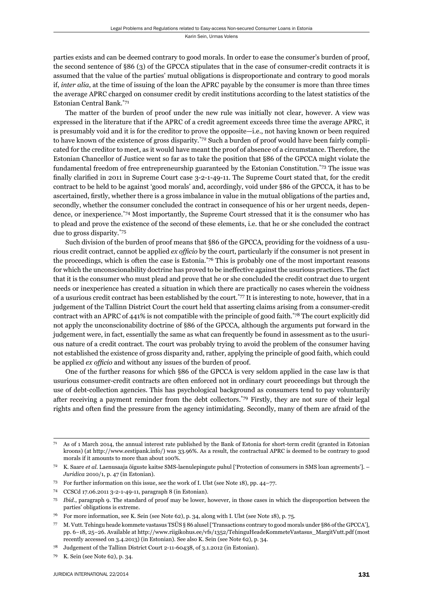parties exists and can be deemed contrary to good morals. In order to ease the consumer's burden of proof, the second sentence of §86 (3) of the GPCCA stipulates that in the case of consumer-credit contracts it is assumed that the value of the parties' mutual obligations is disproportionate and contrary to good morals if, *inter alia*, at the time of issuing of the loan the APRC payable by the consumer is more than three times the average APRC charged on consumer credit by credit institutions according to the latest statistics of the Estonian Central Bank.\*71

The matter of the burden of proof under the new rule was initially not clear, however. A view was expressed in the literature that if the APRC of a credit agreement exceeds three time the average APRC, it is presumably void and it is for the creditor to prove the opposite—i.e., not having known or been required to have known of the existence of gross disparity.<sup>\*72</sup> Such a burden of proof would have been fairly complicated for the creditor to meet, as it would have meant the proof of absence of a circumstance. Therefore, the Estonian Chancellor of Justice went so far as to take the position that §86 of the GPCCA might violate the fundamental freedom of free entrepreneurship guaranteed by the Estonian Constitution.<sup>\*73</sup> The issue was finally clarified in 2011 in Supreme Court case 3-2-1-49-11. The Supreme Court stated that, for the credit contract to be held to be against 'good morals' and, accordingly, void under §86 of the GPCCA, it has to be ascertained, firstly, whether there is a gross imbalance in value in the mutual obligations of the parties and, secondly, whether the consumer concluded the contract in consequence of his or her urgent needs, dependence, or inexperience*.* \*74 Most importantly, the Supreme Court stressed that it is the consumer who has to plead and prove the existence of the second of these elements, i.e. that he or she concluded the contract due to gross disparity.\*75

Such division of the burden of proof means that §86 of the GPCCA, providing for the voidness of a usurious credit contract, cannot be applied *ex officio* by the court, particularly if the consumer is not present in the proceedings, which is often the case is Estonia.\*76 This is probably one of the most important reasons for which the unconscionability doctrine has proved to be ineffective against the usurious practices. The fact that it is the consumer who must plead and prove that he or she concluded the credit contract due to urgent needs or inexperience has created a situation in which there are practically no cases wherein the voidness of a usurious credit contract has been established by the court.\*77 It is interesting to note, however, that in a judgement of the Tallinn District Court the court held that asserting claims arising from a consumer-credit contract with an APRC of 441% is not compatible with the principle of good faith.\*78 The court explicitly did not apply the unconscionability doctrine of §86 of the GPCCA, although the arguments put forward in the judgement were, in fact, essentially the same as what can frequently be found in assessment as to the usurious nature of a credit contract. The court was probably trying to avoid the problem of the consumer having not established the existence of gross disparity and, rather, applying the principle of good faith, which could be applied *ex officio* and without any issues of the burden of proof.

One of the further reasons for which §86 of the GPCCA is very seldom applied in the case law is that usurious consumer-credit contracts are often enforced not in ordinary court proceedings but through the use of debt-collection agencies. This has psychological background as consumers tend to pay voluntarily after receiving a payment reminder from the debt collectors.\*79 Firstly, they are not sure of their legal rights and often find the pressure from the agency intimidating. Secondly, many of them are afraid of the

- 73 For further information on this issue, see the work of I. Ulst (see Note 18), pp. 44–77.
- 74 CCSCd 17.06.2011 3-2-1-49-11, paragraph 8 (in Estonian).
- <sup>75</sup> *Ibid*., paragraph 9. The standard of proof may be lower, however, in those cases in which the disproportion between the parties' obligations is extreme.

<sup>71</sup> As of 1 March 2014, the annual interest rate published by the Bank of Estonia for short-term credit (granted in Estonian kroons) (at http://www.eestipank.info/) was 33.96%. As a result, the contractual APRC is deemed to be contrary to good morals if it amounts to more than about 100%.

<sup>72</sup> K. Saare *et al*. Laenusaaja õiguste kaitse SMS-laenulepingute puhul ['Protection of consumers in SMS loan agreements']. – *Juridica* 2010/1, p. 47 (in Estonian).

<sup>76</sup> For more information, see K. Sein (see Note 62), p. 34, along with I. Ulst (see Note 18), p. 75.

<sup>77</sup> M. Vutt. Tehingu heade kommete vastasus TSÜS § 86 alusel ['Transactions contrary to good morals under §86 of the GPCCA'], pp. 6−18, 25−26. Available at http://www.riigikohus.ee/vfs/1352/TehinguHeadeKommeteVastasus\_MargitVutt.pdf (most recently accessed on 3.4.2013) (in Estonian). See also K. Sein (see Note 62), p. 34.

<sup>78</sup> Judgement of the Tallinn District Court 2-11-60438, of 3.1.2012 (in Estonian).

<sup>79</sup> K. Sein (see Note 62), p. 34.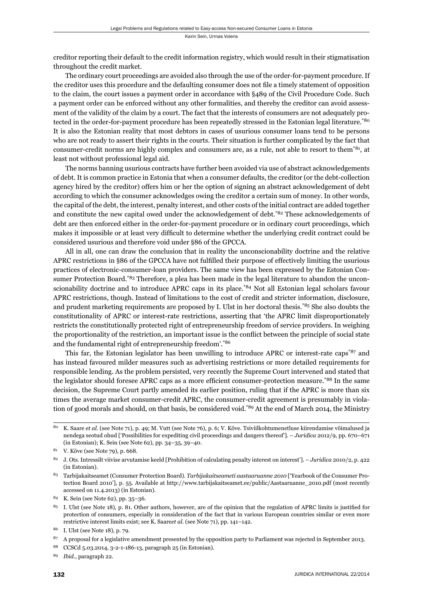creditor reporting their default to the credit information registry, which would result in their stigmatisation throughout the credit market.

The ordinary court proceedings are avoided also through the use of the order-for-payment procedure. If the creditor uses this procedure and the defaulting consumer does not file a timely statement of opposition to the claim, the court issues a payment order in accordance with §489 of the Civil Procedure Code. Such a payment order can be enforced without any other formalities, and thereby the creditor can avoid assessment of the validity of the claim by a court. The fact that the interests of consumers are not adequately protected in the order-for-payment procedure has been repeatedly stressed in the Estonian legal literature.\*80 It is also the Estonian reality that most debtors in cases of usurious consumer loans tend to be persons who are not ready to assert their rights in the courts. Their situation is further complicated by the fact that consumer-credit norms are highly complex and consumers are, as a rule, not able to resort to them\*81, at least not without professional legal aid.

The norms banning usurious contracts have further been avoided via use of abstract acknowledgements of debt. It is common practice in Estonia that when a consumer defaults, the creditor (or the debt-collection agency hired by the creditor) offers him or her the option of signing an abstract acknowledgement of debt according to which the consumer acknowledges owing the creditor a certain sum of money. In other words, the capital of the debt, the interest, penalty interest, and other costs of the initial contract are added together and constitute the new capital owed under the acknowledgement of debt.<sup>\*82</sup> These acknowledgements of debt are then enforced either in the order-for-payment procedure or in ordinary court proceedings, which makes it impossible or at least very difficult to determine whether the underlying credit contract could be considered usurious and therefore void under §86 of the GPCCA.

All in all, one can draw the conclusion that in reality the unconscionability doctrine and the relative APRC restrictions in §86 of the GPCCA have not fulfilled their purpose of effectively limiting the usurious practices of electronic-consumer-loan providers. The same view has been expressed by the Estonian Consumer Protection Board.<sup>\*83</sup> Therefore, a plea has been made in the legal literature to abandon the unconscionability doctrine and to introduce APRC caps in its place.\*84 Not all Estonian legal scholars favour APRC restrictions, though. Instead of limitations to the cost of credit and stricter information, disclosure, and prudent marketing requirements are proposed by I. Ulst in her doctoral thesis.<sup>\*85</sup> She also doubts the constitutionality of APRC or interest-rate restrictions, asserting that 'the APRC limit disproportionately restricts the constitutionally protected right of entrepreneurship freedom of service providers. In weighing the proportionality of the restriction, an important issue is the conflict between the principle of social state and the fundamental right of entrepreneurship freedom'.\*86

This far, the Estonian legislator has been unwilling to introduce APRC or interest-rate caps\*87 and has instead favoured milder measures such as advertising restrictions or more detailed requirements for responsible lending. As the problem persisted, very recently the Supreme Court intervened and stated that the legislator should foresee APRC caps as a more efficient consumer-protection measure.\*88 In the same decision, the Supreme Court partly amended its earlier position, ruling that if the APRC is more than six times the average market consumer-credit APRC, the consumer-credit agreement is presumably in violation of good morals and should, on that basis, be considered void.<sup>\*89</sup> At the end of March 2014, the Ministry

<sup>80</sup> K. Saare *et al*. (see Note 71), p. 49; M. Vutt (see Note 76), p. 6; V. Kõve. Tsiviilkohtumenetluse kiirendamise võimalused ja nendega seotud ohud ['Possibilities for expediting civil proceedings and dangers thereof']. – *Juridica* 2012/9, pp. 670–671 (in Estonian); K. Sein (see Note 62), pp. 34–35, 39–40.

V. Kõve (see Note 79), p. 668.

<sup>82</sup> J. Ots. Intressilt viivise arvutamise keeld [Prohibition of calculating penalty interest on interest']. – *Juridica* 2010/2, p. 422 (in Estonian).

<sup>83</sup> Tarbijakaitseamet (Consumer Protection Board). *Tarbijakaitseameti aastaaruanne 2010* ['Yearbook of the Consumer Protection Board 2010'], p. 55. Available at http://www.tarbijakaitseamet.ee/public/Aastaaruanne\_2010.pdf (most recently accessed on 11.4.2013) (in Estonian).

<sup>84</sup> K. Sein (see Note 62), pp. 35–36.

 $85$  I. Ulst (see Note 18), p. 81. Other authors, however, are of the opinion that the regulation of APRC limits is justified for protection of consumers, especially in consideration of the fact that in various European countries similar or even more restrictive interest limits exist; see K. Saare*et al*. (see Note 71), pp. 141–142.

<sup>86</sup> I. Ulst (see Note 18), p. 79.

<sup>87</sup> A proposal for a legislative amendment presented by the opposition party to Parliament was rejected in September 2013.

<sup>88</sup> CCSCd 5.03.2014, 3-2-1-186-13, paragraph 25 (in Estonian).

<sup>89</sup> *Ibid*., paragraph 22.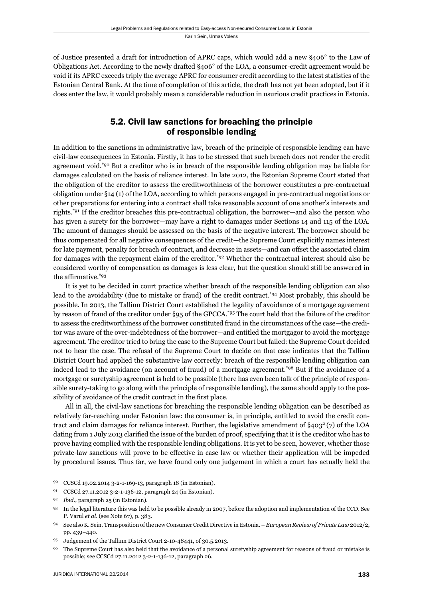of Justice presented a draft for introduction of APRC caps, which would add a new §4062 to the Law of Obligations Act. According to the newly drafted §406<sup>2</sup> of the LOA, a consumer-credit agreement would be void if its APRC exceeds triply the average APRC for consumer credit according to the latest statistics of the Estonian Central Bank. At the time of completion of this article, the draft has not yet been adopted, but if it does enter the law, it would probably mean a considerable reduction in usurious credit practices in Estonia.

## 5.2. Civil law sanctions for breaching the principle of responsible lending

In addition to the sanctions in administrative law, breach of the principle of responsible lending can have civil-law consequences in Estonia. Firstly, it has to be stressed that such breach does not render the credit agreement void.\*90 But a creditor who is in breach of the responsible lending obligation may be liable for damages calculated on the basis of reliance interest. In late 2012, the Estonian Supreme Court stated that the obligation of the creditor to assess the creditworthiness of the borrower constitutes a pre-contractual obligation under §14 (1) of the LOA, according to which persons engaged in pre-contractual negotiations or other preparations for entering into a contract shall take reasonable account of one another's interests and rights.\*91 If the creditor breaches this pre-contractual obligation, the borrower—and also the person who has given a surety for the borrower—may have a right to damages under Sections 14 and 115 of the LOA. The amount of damages should be assessed on the basis of the negative interest. The borrower should be thus compensated for all negative consequences of the credit—the Supreme Court explicitly names interest for late payment, penalty for breach of contract, and decrease in assets—and can offset the associated claim for damages with the repayment claim of the creditor.\*92 Whether the contractual interest should also be considered worthy of compensation as damages is less clear, but the question should still be answered in the affirmative.\*93

It is yet to be decided in court practice whether breach of the responsible lending obligation can also lead to the avoidability (due to mistake or fraud) of the credit contract.\*94 Most probably, this should be possible. In 2013, the Tallinn District Court established the legality of avoidance of a mortgage agreement by reason of fraud of the creditor under §95 of the GPCCA.\*95 The court held that the failure of the creditor to assess the creditworthiness of the borrower constituted fraud in the circumstances of the case—the creditor was aware of the over-indebtedness of the borrower—and entitled the mortgagor to avoid the mortgage agreement. The creditor tried to bring the case to the Supreme Court but failed: the Supreme Court decided not to hear the case. The refusal of the Supreme Court to decide on that case indicates that the Tallinn District Court had applied the substantive law correctly: breach of the responsible lending obligation can indeed lead to the avoidance (on account of fraud) of a mortgage agreement.\*96 But if the avoidance of a mortgage or suretyship agreement is held to be possible (there has even been talk of the principle of responsible surety-taking to go along with the principle of responsible lending), the same should apply to the possibility of avoidance of the credit contract in the first place.

All in all, the civil-law sanctions for breaching the responsible lending obligation can be described as relatively far-reaching under Estonian law: the consumer is, in principle, entitled to avoid the credit contract and claim damages for reliance interest. Further, the legislative amendment of  $\S 403^2$  (7) of the LOA dating from 1 July 2013 clarified the issue of the burden of proof, specifying that it is the creditor who has to prove having complied with the responsible lending obligations. It is yet to be seen, however, whether those private-law sanctions will prove to be effective in case law or whether their application will be impeded by procedural issues. Thus far, we have found only one judgement in which a court has actually held the

<sup>90</sup> CCSCd 19.02.2014 3-2-1-169-13, paragraph 18 (in Estonian).

<sup>91</sup> CCSCd 27.11.2012 3-2-1-136-12, paragraph 24 (in Estonian).

<sup>92</sup> *Ibid*., paragraph 25 (in Estonian).

<sup>93</sup> In the legal literature this was held to be possible already in 2007, before the adoption and implementation of the CCD. See P. Varul *et al*. (see Note 67), p. 383.

<sup>94</sup> See also K. Sein. Transposition of the new Consumer Credit Directive in Estonia. – *European Review of Private Law* 2012/2, pp. 439–440.

<sup>95</sup> Judgement of the Tallinn District Court 2-10-48441, of 30.5.2013.

<sup>96</sup> The Supreme Court has also held that the avoidance of a personal suretyship agreement for reasons of fraud or mistake is possible; see CCSCd 27.11.2012 3-2-1-136-12, paragraph 26.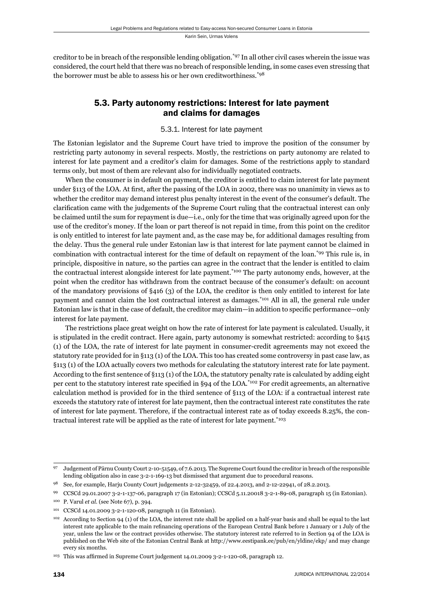creditor to be in breach of the responsible lending obligation.\*97 In all other civil cases wherein the issue was considered, the court held that there was no breach of responsible lending, in some cases even stressing that the borrower must be able to assess his or her own creditworthiness.<sup>\*98</sup>

## 5.3. Party autonomy restrictions: Interest for late payment and claims for damages

#### 5.3.1. Interest for late payment

The Estonian legislator and the Supreme Court have tried to improve the position of the consumer by restricting party autonomy in several respects. Mostly, the restrictions on party autonomy are related to interest for late payment and a creditor's claim for damages. Some of the restrictions apply to standard terms only, but most of them are relevant also for individually negotiated contracts.

When the consumer is in default on payment, the creditor is entitled to claim interest for late payment under §113 of the LOA. At first, after the passing of the LOA in 2002, there was no unanimity in views as to whether the creditor may demand interest plus penalty interest in the event of the consumer's default. The clarification came with the judgements of the Supreme Court ruling that the contractual interest can only be claimed until the sum for repayment is due—i.e., only for the time that was originally agreed upon for the use of the creditor's money. If the loan or part thereof is not repaid in time, from this point on the creditor is only entitled to interest for late payment and, as the case may be, for additional damages resulting from the delay. Thus the general rule under Estonian law is that interest for late payment cannot be claimed in combination with contractual interest for the time of default on repayment of the loan.\*99 This rule is, in principle, dispositive in nature, so the parties can agree in the contract that the lender is entitled to claim the contractual interest alongside interest for late payment.\*100 The party autonomy ends, however, at the point when the creditor has withdrawn from the contract because of the consumer's default: on account of the mandatory provisions of §416 (3) of the LOA, the creditor is then only entitled to interest for late payment and cannot claim the lost contractual interest as damages.\*101 All in all, the general rule under Estonian law is that in the case of default, the creditor may claim—in addition to specific performance—only interest for late payment.

The restrictions place great weight on how the rate of interest for late payment is calculated. Usually, it is stipulated in the credit contract. Here again, party autonomy is somewhat restricted: according to §415 (1) of the LOA, the rate of interest for late payment in consumer-credit agreements may not exceed the statutory rate provided for in §113 (1) of the LOA. This too has created some controversy in past case law, as §113 (1) of the LOA actually covers two methods for calculating the statutory interest rate for late payment. According to the first sentence of §113 (1) of the LOA, the statutory penalty rate is calculated by adding eight per cent to the statutory interest rate specified in §94 of the LOA.<sup>\*102</sup> For credit agreements, an alternative calculation method is provided for in the third sentence of §113 of the LOA: if a contractual interest rate exceeds the statutory rate of interest for late payment, then the contractual interest rate constitutes the rate of interest for late payment. Therefore, if the contractual interest rate as of today exceeds 8.25%, the contractual interest rate will be applied as the rate of interest for late payment.<sup>\*103</sup>

<sup>97</sup> Judgement of Pärnu County Court 2-10-51549, of 7.6.2013. The Supreme Court found the creditor in breach of the responsible lending obligation also in case 3-2-1-169-13 but dismissed that argument due to procedural reasons.

<sup>98</sup> See, for example, Harju County Court judgements 2-12-32459, of 22.4.2013, and 2-12-22941, of 28.2.2013.

<sup>99</sup> CCSCd 29.01.2007 3-2-1-137-06, paragraph 17 (in Estonian); CCSCd 5.11.20018 3-2-1-89-08, paragraph 15 (in Estonian).

<sup>100</sup> P. Varul *et al*. (see Note 67), p. 394.

<sup>101</sup> CCSCd 14.01.2009 3-2-1-120-08, paragraph 11 (in Estonian).

According to Section 94 (1) of the LOA, the interest rate shall be applied on a half-year basis and shall be equal to the last interest rate applicable to the main refinancing operations of the European Central Bank before 1 January or 1 July of the year, unless the law or the contract provides otherwise. The statutory interest rate referred to in Section 94 of the LOA is published on the Web site of the Estonian Central Bank at http://www.eestipank.ee/pub/en/yldine/ekp/ and may change every six months.

<sup>&</sup>lt;sup>103</sup> This was affirmed in Supreme Court judgement 14.01.2009 3-2-1-120-08, paragraph 12.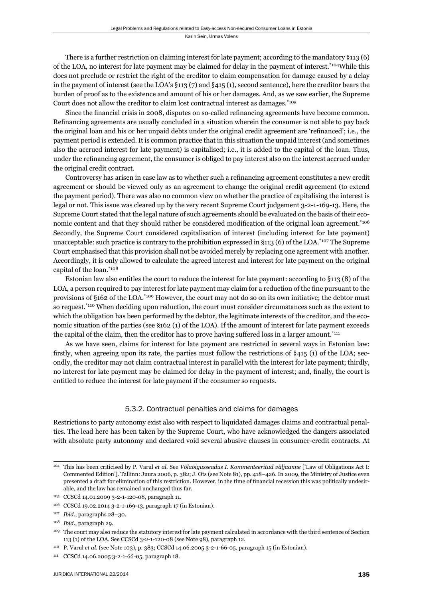There is a further restriction on claiming interest for late payment; according to the mandatory §113 (6) of the LOA, no interest for late payment may be claimed for delay in the payment of interest.\*104While this does not preclude or restrict the right of the creditor to claim compensation for damage caused by a delay in the payment of interest (see the LOA's §113 (7) and §415 (1), second sentence), here the creditor bears the burden of proof as to the existence and amount of his or her damages. And, as we saw earlier, the Supreme Court does not allow the creditor to claim lost contractual interest as damages.  $*105$ 

Since the financial crisis in 2008, disputes on so-called refinancing agreements have become common. Refinancing agreements are usually concluded in a situation wherein the consumer is not able to pay back the original loan and his or her unpaid debts under the original credit agreement are 'refinanced'; i.e., the payment period is extended. It is common practice that in this situation the unpaid interest (and sometimes also the accrued interest for late payment) is capitalised; i.e., it is added to the capital of the loan. Thus, under the refinancing agreement, the consumer is obliged to pay interest also on the interest accrued under the original credit contract.

Controversy has arisen in case law as to whether such a refinancing agreement constitutes a new credit agreement or should be viewed only as an agreement to change the original credit agreement (to extend the payment period). There was also no common view on whether the practice of capitalising the interest is legal or not. This issue was cleared up by the very recent Supreme Court judgement 3-2-1-169-13. Here, the Supreme Court stated that the legal nature of such agreements should be evaluated on the basis of their economic content and that they should rather be considered modification of the original loan agreement.<sup>\*106</sup> Secondly, the Supreme Court considered capitalisation of interest (including interest for late payment) unacceptable: such practice is contrary to the prohibition expressed in §113 (6) of the LOA.<sup>\*107</sup> The Supreme Court emphasised that this provision shall not be avoided merely by replacing one agreement with another. Accordingly, it is only allowed to calculate the agreed interest and interest for late payment on the original capital of the loan.\*108

Estonian law also entitles the court to reduce the interest for late payment: according to §113 (8) of the LOA, a person required to pay interest for late payment may claim for a reduction of the fine pursuant to the provisions of §162 of the LOA.\*109 However, the court may not do so on its own initiative; the debtor must so request.<sup>\*110</sup> When deciding upon reduction, the court must consider circumstances such as the extent to which the obligation has been performed by the debtor, the legitimate interests of the creditor, and the economic situation of the parties (see §162 (1) of the LOA). If the amount of interest for late payment exceeds the capital of the claim, then the creditor has to prove having suffered loss in a larger amount.<sup>\*111</sup>

As we have seen, claims for interest for late payment are restricted in several ways in Estonian law: firstly, when agreeing upon its rate, the parties must follow the restrictions of  $\S 415$  (1) of the LOA; secondly, the creditor may not claim contractual interest in parallel with the interest for late payment; thirdly, no interest for late payment may be claimed for delay in the payment of interest; and, finally, the court is entitled to reduce the interest for late payment if the consumer so requests.

#### 5.3.2. Contractual penalties and claims for damages

Restrictions to party autonomy exist also with respect to liquidated damages claims and contractual penalties. The lead here has been taken by the Supreme Court, who have acknowledged the dangers associated with absolute party autonomy and declared void several abusive clauses in consumer-credit contracts. At

<sup>104</sup> This has been criticised by P. Varul *et al*. See *Võlaõigusseadus I. Kommenteeritud väljaanne* ['Law of Obligations Act I: Commented Edition']. Tallinn: Juura 2006, p. 382; J. Ots (see Note 81), pp. 418–426. In 2009, the Ministry of Justice even presented a draft for elimination of this restriction. However, in the time of financial recession this was politically undesirable, and the law has remained unchanged thus far.

<sup>105</sup> CCSCd 14.01.2009 3-2-1-120-08, paragraph 11.

<sup>106</sup> CCSCd 19.02.2014 3-2-1-169-13, paragraph 17 (in Estonian).

<sup>107</sup> *Ibid*., paragraphs 28–30.

<sup>108</sup> *Ibid*., paragraph 29.

<sup>109</sup> The court may also reduce the statutory interest for late payment calculated in accordance with the third sentence of Section 113 (1) of the LOA. See CCSCd 3-2-1-120-08 (see Note 98), paragraph 12.

<sup>110</sup> P. Varul *et al*. (see Note 103), p. 383; CCSCd 14.06.2005 3-2-1-66-05, paragraph 15 (in Estonian).

<sup>111</sup> CCSCd 14.06.2005 3-2-1-66-05, paragraph 18.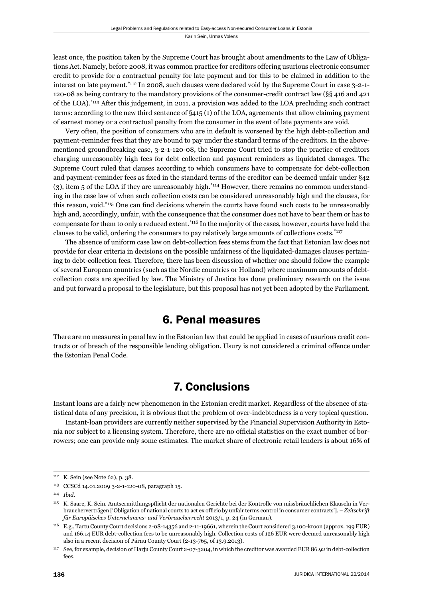least once, the position taken by the Supreme Court has brought about amendments to the Law of Obligations Act. Namely, before 2008, it was common practice for creditors offering usurious electronic consumer credit to provide for a contractual penalty for late payment and for this to be claimed in addition to the interest on late payment.\*112 In 2008, such clauses were declared void by the Supreme Court in case 3-2-1- 120-08 as being contrary to the mandatory provisions of the consumer-credit contract law (§§ 416 and 421 of the LOA).\*113 After this judgement, in 2011, a provision was added to the LOA precluding such contract terms: according to the new third sentence of §415 (1) of the LOA, agreements that allow claiming payment of earnest money or a contractual penalty from the consumer in the event of late payments are void.

Very often, the position of consumers who are in default is worsened by the high debt-collection and payment-reminder fees that they are bound to pay under the standard terms of the creditors. In the abovementioned groundbreaking case, 3-2-1-120-08, the Supreme Court tried to stop the practice of creditors charging unreasonably high fees for debt collection and payment reminders as liquidated damages. The Supreme Court ruled that clauses according to which consumers have to compensate for debt-collection and payment-reminder fees as fixed in the standard terms of the creditor can be deemed unfair under §42 (3), item 5 of the LOA if they are unreasonably high.\*114 However, there remains no common understanding in the case law of when such collection costs can be considered unreasonably high and the clauses, for this reason, void.<sup>\*115</sup> One can find decisions wherein the courts have found such costs to be unreasonably high and, accordingly, unfair, with the consequence that the consumer does not have to bear them or has to compensate for them to only a reduced extent.\*116 In the majority of the cases, however, courts have held the clauses to be valid, ordering the consumers to pay relatively large amounts of collections costs.\*117

The absence of uniform case law on debt-collection fees stems from the fact that Estonian law does not provide for clear criteria in decisions on the possible unfairness of the liquidated-damages clauses pertaining to debt-collection fees. Therefore, there has been discussion of whether one should follow the example of several European countries (such as the Nordic countries or Holland) where maximum amounts of debtcollection costs are specified by law. The Ministry of Justice has done preliminary research on the issue and put forward a proposal to the legislature, but this proposal has not yet been adopted by the Parliament.

# 6. Penal measures

There are no measures in penal law in the Estonian law that could be applied in cases of usurious credit contracts or of breach of the responsible lending obligation. Usury is not considered a criminal offence under the Estonian Penal Code.

# 7. Conclusions

Instant loans are a fairly new phenomenon in the Estonian credit market. Regardless of the absence of statistical data of any precision, it is obvious that the problem of over-indebtedness is a very topical question.

Instant-loan providers are currently neither supervised by the Financial Supervision Authority in Estonia nor subject to a licensing system. Therefore, there are no official statistics on the exact number of borrowers; one can provide only some estimates. The market share of electronic retail lenders is about 16% of

<sup>112</sup> K. Sein (see Note 62), p. 38.

<sup>113</sup> CCSCd 14.01.2009 3-2-1-120-08, paragraph 15.

<sup>114</sup> *Ibid*.

<sup>&</sup>lt;sup>115</sup> K. Saare, K. Sein. Amtsermittlungspflicht der nationalen Gerichte bei der Kontrolle von missbräuchlichen Klauseln in Verbraucherverträgen ['Obligation of national courts to act ex officio by unfair terms control in consumer contracts']. – Zeitschrift *für Europäisches Unternehmens- und Verbraucherrecht* 2013/1, p. 24 (in German).

<sup>116</sup> E.g., Tartu County Court decisions 2-08-14356 and 2-11-19661, wherein the Court considered 3,100-kroon (approx. 199 EUR) and 166.14 EUR debt-collection fees to be unreasonably high. Collection costs of 126 EUR were deemed unreasonably high also in a recent decision of Pärnu County Court (2-13-765, of 13.9.2013).

<sup>117</sup> See, for example, decision of Harju County Court 2-07-3204, in which the creditor was awarded EUR 86.92 in debt-collection fees.